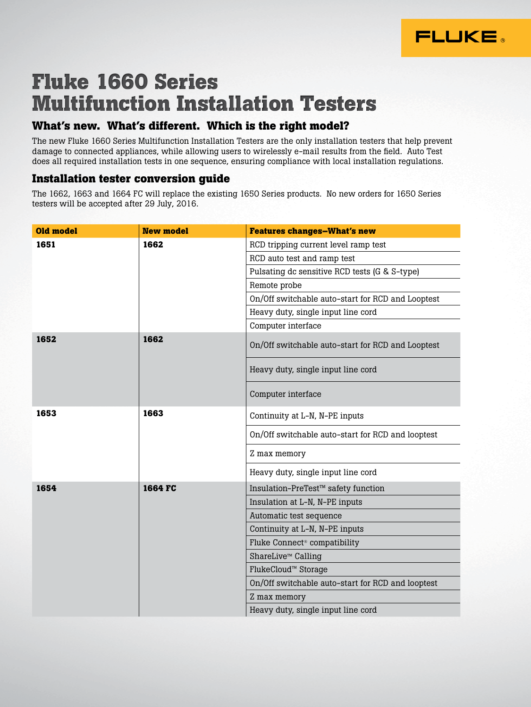

## **Fluke 1660 Series Multifunction Installation Testers**

## **What's new. What's different. Which is the right model?**

The new Fluke 1660 Series Multifunction Installation Testers are the only installation testers that help prevent damage to connected appliances, while allowing users to wirelessly e-mail results from the field. Auto Test does all required installation tests in one sequence, ensuring compliance with local installation regulations.

## **Installation tester conversion guide**

The 1662, 1663 and 1664 FC will replace the existing 1650 Series products. No new orders for 1650 Series testers will be accepted after 29 July, 2016.

| <b>Old model</b> | <b>New model</b> | <b>Features changes-What's new</b>                |  |
|------------------|------------------|---------------------------------------------------|--|
| 1651             | 1662             | RCD tripping current level ramp test              |  |
|                  |                  | RCD auto test and ramp test                       |  |
|                  |                  | Pulsating dc sensitive RCD tests (G & S-type)     |  |
|                  |                  | Remote probe                                      |  |
|                  |                  | On/Off switchable auto-start for RCD and Looptest |  |
|                  |                  | Heavy duty, single input line cord                |  |
|                  |                  | Computer interface                                |  |
| 1652             | 1662             | On/Off switchable auto-start for RCD and Looptest |  |
|                  |                  | Heavy duty, single input line cord                |  |
|                  |                  | Computer interface                                |  |
| 1653             | 1663             | Continuity at L-N, N-PE inputs                    |  |
|                  |                  | On/Off switchable auto-start for RCD and looptest |  |
|                  |                  | Z max memory                                      |  |
|                  |                  | Heavy duty, single input line cord                |  |
| 1654             | 1664 FC          | Insulation-PreTest™ safety function               |  |
|                  |                  | Insulation at L-N, N-PE inputs                    |  |
|                  |                  | Automatic test sequence                           |  |
|                  |                  | Continuity at L-N, N-PE inputs                    |  |
|                  |                  | Fluke Connect <sup>®</sup> compatibility          |  |
|                  |                  | ShareLive™ Calling                                |  |
|                  |                  | FlukeCloud™ Storage                               |  |
|                  |                  | On/Off switchable auto-start for RCD and looptest |  |
|                  |                  | Z max memory                                      |  |
|                  |                  | Heavy duty, single input line cord                |  |